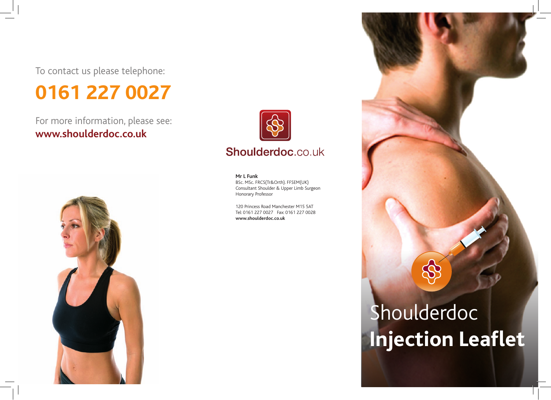To contact us please telephone:

## **0161 227 0027**

For more information, please see: **www.shoulderdoc.co.uk**





#### **Mr L Funk**

BSc. MSc. FRCS(Tr&Orth). FFSEM(UK) Consultant Shoulder & Upper Limb Surgeon Honorary Professor

120 Princess Road Manchester M15 5AT Tel: 0161 227 0027 Fax: 0161 227 0028 **www.shoulderdoc.co.uk**

# Shoulderdoc **Injection Leaflet**